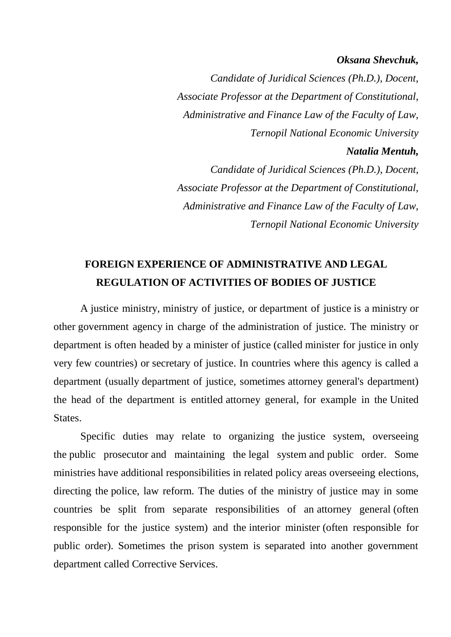#### *Oksana Shevchuk,*

*Candidate of Juridical Sciences (Ph.D.), Docent, Associate Professor at the Department of Constitutional, Administrative and Finance Law of the Faculty of Law, Ternopil National Economic University Natalia Mentuh, Candidate of Juridical Sciences (Ph.D.), Docent, Associate Professor at the Department of Constitutional, Administrative and Finance Law of the Faculty of Law,*

*Ternopil National Economic University*

## **FOREIGN EXPERIENCE OF ADMINISTRATIVE AND LEGAL REGULATION OF ACTIVITIES OF BODIES OF JUSTICE**

A justice ministry, ministry of justice, or department of justice is a ministry or other government agency in charge of the administration of justice. The ministry or department is often headed by a minister of justice (called minister for justice in only very few countries) or secretary of justice. In countries where this agency is called a department (usually department of justice, sometimes attorney general's department) the head of the department is entitled attorney general, for example in the United States.

Specific duties may relate to organizing the justice system, overseeing the public prosecutor and maintaining the legal system and public order. Some ministries have additional responsibilities in related policy areas overseeing elections, directing the police, law reform. The duties of the ministry of justice may in some countries be split from separate responsibilities of an attorney general (often responsible for the justice system) and the interior minister (often responsible for public order). Sometimes the prison system is separated into another government department called Corrective Services.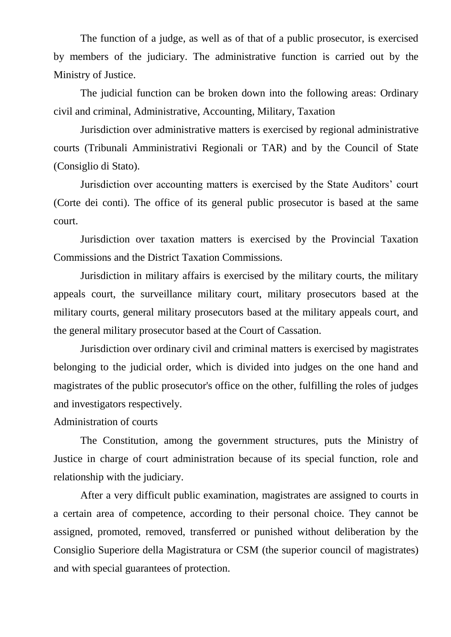The function of a judge, as well as of that of a public prosecutor, is exercised by members of the judiciary. The administrative function is carried out by the Ministry of Justice.

The judicial function can be broken down into the following areas: Ordinary civil and criminal, Administrative, Accounting, Military, Taxation

Jurisdiction over administrative matters is exercised by regional administrative courts (Tribunali Amministrativi Regionali or TAR) and by the Council of State (Consiglio di Stato).

Jurisdiction over accounting matters is exercised by the State Auditors' court (Corte dei conti). The office of its general public prosecutor is based at the same court.

Jurisdiction over taxation matters is exercised by the Provincial Taxation Commissions and the District Taxation Commissions.

Jurisdiction in military affairs is exercised by the military courts, the military appeals court, the surveillance military court, military prosecutors based at the military courts, general military prosecutors based at the military appeals court, and the general military prosecutor based at the Court of Cassation.

Jurisdiction over ordinary civil and criminal matters is exercised by magistrates belonging to the judicial order, which is divided into judges on the one hand and magistrates of the public prosecutor's office on the other, fulfilling the roles of judges and investigators respectively.

### Administration of courts

The Constitution, among the government structures, puts the Ministry of Justice in charge of court administration because of its special function, role and relationship with the judiciary.

After a very difficult public examination, magistrates are assigned to courts in a certain area of competence, according to their personal choice. They cannot be assigned, promoted, removed, transferred or punished without deliberation by the Consiglio Superiore della Magistratura or CSM (the superior council of magistrates) and with special guarantees of protection.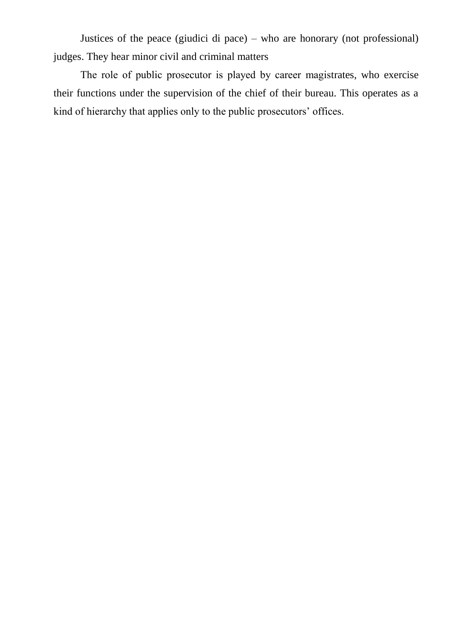Justices of the peace (giudici di pace) – who are honorary (not professional) judges. They hear minor civil and criminal matters

The role of public prosecutor is played by career magistrates, who exercise their functions under the supervision of the chief of their bureau. This operates as a kind of hierarchy that applies only to the public prosecutors' offices.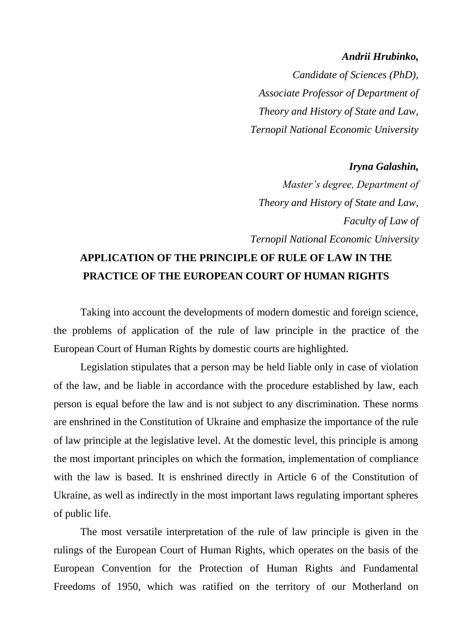### *Andrii Hrubinko,*

*Candidate of Sciences (PhD), Associate Professor of Department of Theory and History of State and Law, Ternopil National Economic University*

### *Iryna Galashin,*

*Master's degree, Department of Theory and History of State and Law, Faculty of Law of Ternopil National Economic University*

# **APPLICATION OF THE PRINCIPLE OF RULE OF LAW IN THE PRACTICE OF THE EUROPEAN COURT OF HUMAN RIGHTS**

Taking into account the developments of modern domestic and foreign science, the problems of application of the rule of law principle in the practice of the European Court of Human Rights by domestic courts are highlighted.

Legislation stipulates that a person may be held liable only in case of violation of the law, and be liable in accordance with the procedure established by law, each person is equal before the law and is not subject to any discrimination. These norms are enshrined in the Constitution of Ukraine and emphasize the importance of the rule of law principle at the legislative level. At the domestic level, this principle is among the most important principles on which the formation, implementation of compliance with the law is based. It is enshrined directly in Article 6 of the Constitution of Ukraine, as well as indirectly in the most important laws regulating important spheres of public life.

The most versatile interpretation of the rule of law principle is given in the rulings of the European Court of Human Rights, which operates on the basis of the European Convention for the Protection of Human Rights and Fundamental Freedoms of 1950, which was ratified on the territory of our Motherland on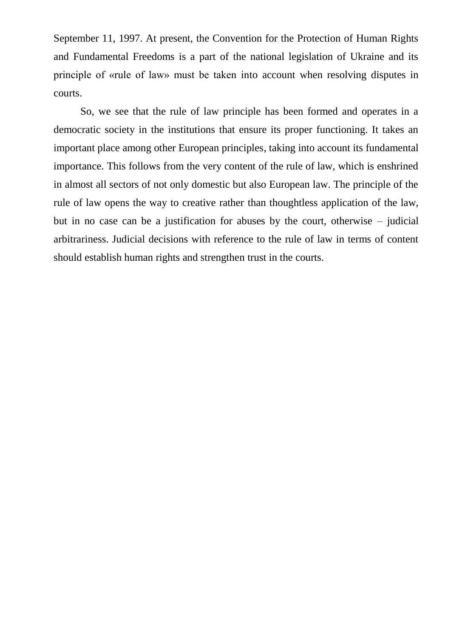September 11, 1997. At present, the Convention for the Protection of Human Rights and Fundamental Freedoms is a part of the national legislation of Ukraine and its principle of «rule of law» must be taken into account when resolving disputes in courts.

So, we see that the rule of law principle has been formed and operates in a democratic society in the institutions that ensure its proper functioning. It takes an important place among other European principles, taking into account its fundamental importance. This follows from the very content of the rule of law, which is enshrined in almost all sectors of not only domestic but also European law. The principle of the rule of law opens the way to creative rather than thoughtless application of the law, but in no case can be a justification for abuses by the court, otherwise – judicial arbitrariness. Judicial decisions with reference to the rule of law in terms of content should establish human rights and strengthen trust in the courts.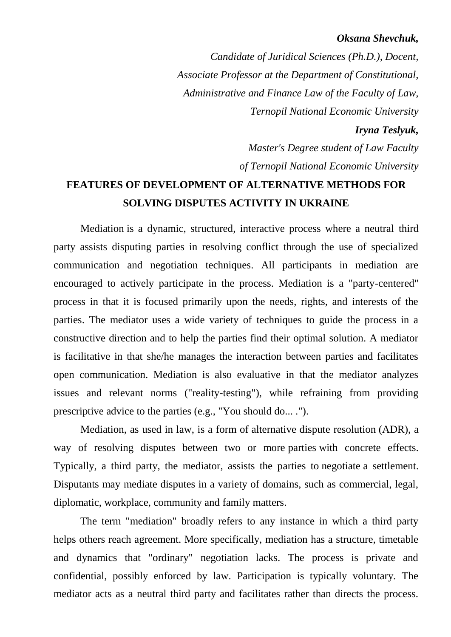### *Oksana Shevchuk,*

*Candidate of Juridical Sciences (Ph.D.), Docent, Associate Professor at the Department of Constitutional, Administrative and Finance Law of the Faculty of Law, Ternopil National Economic University*

### *Iryna Teslyuk,*

*Master's Degree student of Law Faculty of Ternopil National Economic University*

## **FEATURES OF DEVELOPMENT OF ALTERNATIVE METHODS FOR SOLVING DISPUTES ACTIVITY IN UKRAINE**

Mediation is a dynamic, structured, interactive process where a neutral third party assists disputing parties in resolving conflict through the use of specialized communication and negotiation techniques. All participants in mediation are encouraged to actively participate in the process. Mediation is a "party-centered" process in that it is focused primarily upon the needs, rights, and interests of the parties. The mediator uses a wide variety of techniques to guide the process in a constructive direction and to help the parties find their optimal solution. A mediator is facilitative in that she/he manages the interaction between parties and facilitates open communication. Mediation is also evaluative in that the mediator analyzes issues and relevant norms ("reality-testing"), while refraining from providing prescriptive advice to the parties (e.g., "You should do... .").

Mediation, as used in law, is a form of alternative dispute resolution (ADR), a way of resolving disputes between two or more parties with concrete effects. Typically, a third party, the mediator, assists the parties to negotiate a settlement. Disputants may mediate disputes in a variety of domains, such as commercial, legal, diplomatic, workplace, community and family matters.

The term "mediation" broadly refers to any instance in which a third party helps others reach agreement. More specifically, mediation has a structure, timetable and dynamics that "ordinary" negotiation lacks. The process is private and confidential, possibly enforced by law. Participation is typically voluntary. The mediator acts as a neutral third party and facilitates rather than directs the process.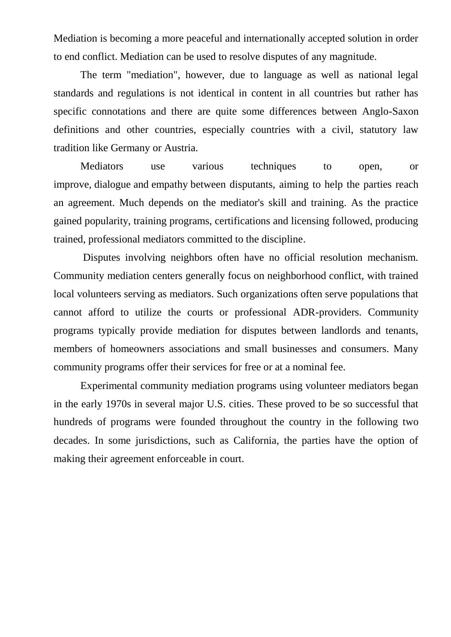Mediation is becoming a more peaceful and internationally accepted solution in order to end conflict. Mediation can be used to resolve disputes of any magnitude.

The term "mediation", however, due to language as well as national legal standards and regulations is not identical in content in all countries but rather has specific connotations and there are quite some differences between Anglo-Saxon definitions and other countries, especially countries with a civil, statutory law tradition like Germany or Austria.

Mediators use various techniques to open, or improve, dialogue and empathy between disputants, aiming to help the parties reach an agreement. Much depends on the mediator's skill and training. As the practice gained popularity, training programs, certifications and licensing followed, producing trained, professional mediators committed to the discipline.

Disputes involving neighbors often have no official resolution mechanism. Community mediation centers generally focus on neighborhood conflict, with trained local volunteers serving as mediators. Such organizations often serve populations that cannot afford to utilize the courts or professional ADR-providers. Community programs typically provide mediation for disputes between landlords and tenants, members of homeowners associations and small businesses and consumers. Many community programs offer their services for free or at a nominal fee.

Experimental community mediation programs using volunteer mediators began in the early 1970s in several major U.S. cities. These proved to be so successful that hundreds of programs were founded throughout the country in the following two decades. In some jurisdictions, such as California, the parties have the option of making their agreement enforceable in court.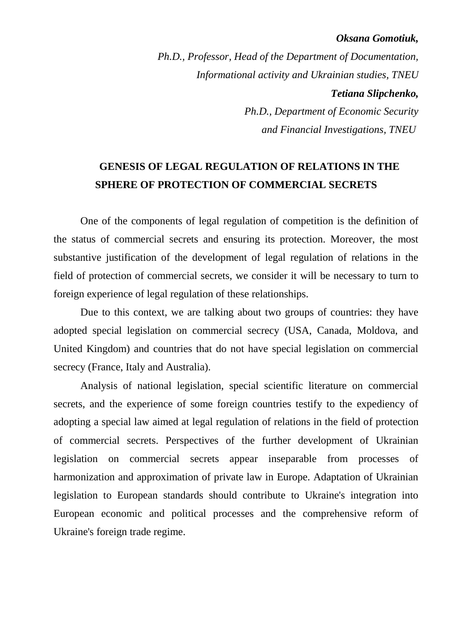### *Oksana Gomotiuk,*

*Ph.D., Professor, Head of the Department of Documentation, Informational activity and Ukrainian studies, TNEU Tetiana Slipchenko, Ph.D., Department of Economic Security and Financial Investigations, TNEU*

### **GENESIS OF LEGAL REGULATION OF RELATIONS IN THE SPHERE OF PROTECTION OF COMMERCIAL SECRETS**

One of the components of legal regulation of competition is the definition of the status of commercial secrets and ensuring its protection. Moreover, the most substantive justification of the development of legal regulation of relations in the field of protection of commercial secrets, we consider it will be necessary to turn to foreign experience of legal regulation of these relationships.

Due to this context, we are talking about two groups of countries: they have adopted special legislation on commercial secrecy (USA, Canada, Moldova, and United Kingdom) and countries that do not have special legislation on commercial secrecy (France, Italy and Australia).

Analysis of national legislation, special scientific literature on commercial secrets, and the experience of some foreign countries testify to the expediency of adopting a special law aimed at legal regulation of relations in the field of protection of commercial secrets. Perspectives of the further development of Ukrainian legislation on commercial secrets appear inseparable from processes of harmonization and approximation of private law in Europe. Adaptation of Ukrainian legislation to European standards should contribute to Ukraine's integration into European economic and political processes and the comprehensive reform of Ukraine's foreign trade regime.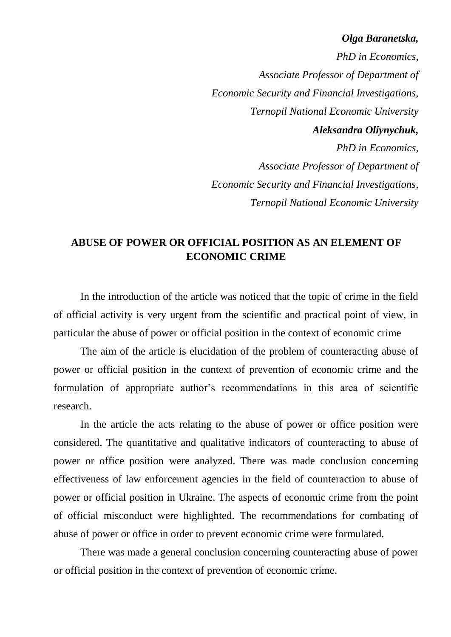### *Olga Baranetska,*

*PhD in Economics, Associate Professor of Department of Economic Security and Financial Investigations, Ternopil National Economic University Aleksandra Oliynychuk, PhD in Economics, Associate Professor of Department of Economic Security and Financial Investigations, Ternopil National Economic University*

### **ABUSE OF POWER OR OFFICIAL POSITION AS AN ELEMENT OF ECONOMIC CRIME**

In the introduction of the article was noticed that the topic of crime in the field of official activity is very urgent from the scientific and practical point of view, in particular the abuse of power or official position in the context of economic crime

The aim of the article is elucidation of the problem of counteracting abuse of power or official position in the context of prevention of economic crime and the formulation of appropriate author's recommendations in this area of scientific research.

In the article the acts relating to the abuse of power or office position were considered. The quantitative and qualitative indicators of counteracting to abuse of power or office position were analyzed. There was made conclusion concerning effectiveness of law enforcement agencies in the field of counteraction to abuse of power or official position in Ukraine. The aspects of economic crime from the point of official misconduct were highlighted. The recommendations for combating of abuse of power or office in order to prevent economic crime were formulated.

There was made a general conclusion concerning counteracting abuse of power or official position in the context of prevention of economic crime.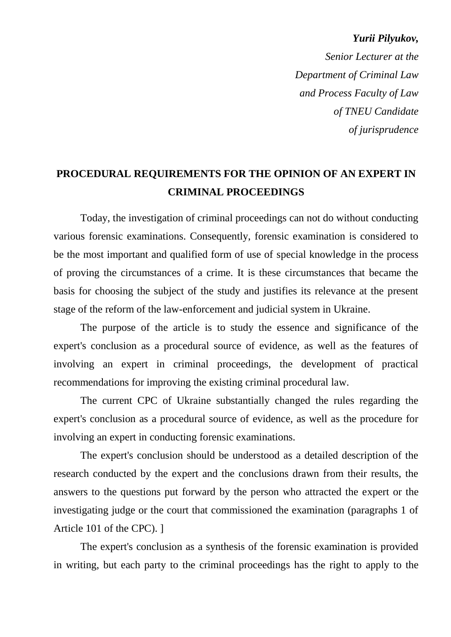*Yurii Pilyukov, Senior Lecturer at the Department of Criminal Law and Process Faculty of Law of TNEU Candidate of jurisprudence* 

**PROCEDURAL REQUIREMENTS FOR THE OPINION OF AN EXPERT IN CRIMINAL PROCEEDINGS**

Today, the investigation of criminal proceedings can not do without conducting various forensic examinations. Consequently, forensic examination is considered to be the most important and qualified form of use of special knowledge in the process of proving the circumstances of a crime. It is these circumstances that became the basis for choosing the subject of the study and justifies its relevance at the present stage of the reform of the law-enforcement and judicial system in Ukraine.

The purpose of the article is to study the essence and significance of the expert's conclusion as a procedural source of evidence, as well as the features of involving an expert in criminal proceedings, the development of practical recommendations for improving the existing criminal procedural law.

The current CPC of Ukraine substantially changed the rules regarding the expert's conclusion as a procedural source of evidence, as well as the procedure for involving an expert in conducting forensic examinations.

The expert's conclusion should be understood as a detailed description of the research conducted by the expert and the conclusions drawn from their results, the answers to the questions put forward by the person who attracted the expert or the investigating judge or the court that commissioned the examination (paragraphs 1 of Article 101 of the CPC). ]

The expert's conclusion as a synthesis of the forensic examination is provided in writing, but each party to the criminal proceedings has the right to apply to the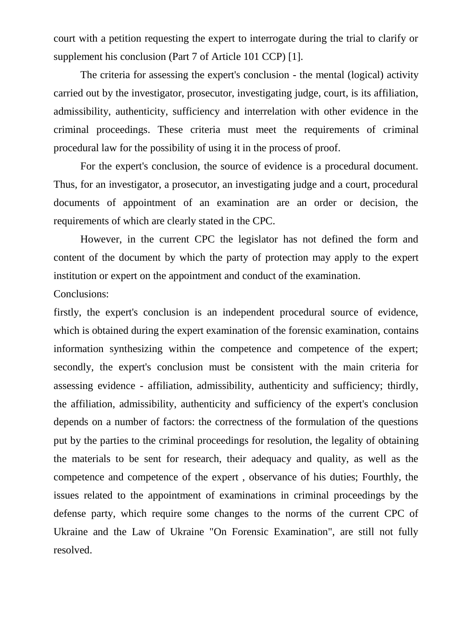court with a petition requesting the expert to interrogate during the trial to clarify or supplement his conclusion (Part 7 of Article 101 CCP) [1].

The criteria for assessing the expert's conclusion - the mental (logical) activity carried out by the investigator, prosecutor, investigating judge, court, is its affiliation, admissibility, authenticity, sufficiency and interrelation with other evidence in the criminal proceedings. These criteria must meet the requirements of criminal procedural law for the possibility of using it in the process of proof.

For the expert's conclusion, the source of evidence is a procedural document. Thus, for an investigator, a prosecutor, an investigating judge and a court, procedural documents of appointment of an examination are an order or decision, the requirements of which are clearly stated in the CPC.

However, in the current CPC the legislator has not defined the form and content of the document by which the party of protection may apply to the expert institution or expert on the appointment and conduct of the examination.

### Conclusions:

firstly, the expert's conclusion is an independent procedural source of evidence, which is obtained during the expert examination of the forensic examination, contains information synthesizing within the competence and competence of the expert; secondly, the expert's conclusion must be consistent with the main criteria for assessing evidence - affiliation, admissibility, authenticity and sufficiency; thirdly, the affiliation, admissibility, authenticity and sufficiency of the expert's conclusion depends on a number of factors: the correctness of the formulation of the questions put by the parties to the criminal proceedings for resolution, the legality of obtaining the materials to be sent for research, their adequacy and quality, as well as the competence and competence of the expert , observance of his duties; Fourthly, the issues related to the appointment of examinations in criminal proceedings by the defense party, which require some changes to the norms of the current CPC of Ukraine and the Law of Ukraine "On Forensic Examination", are still not fully resolved.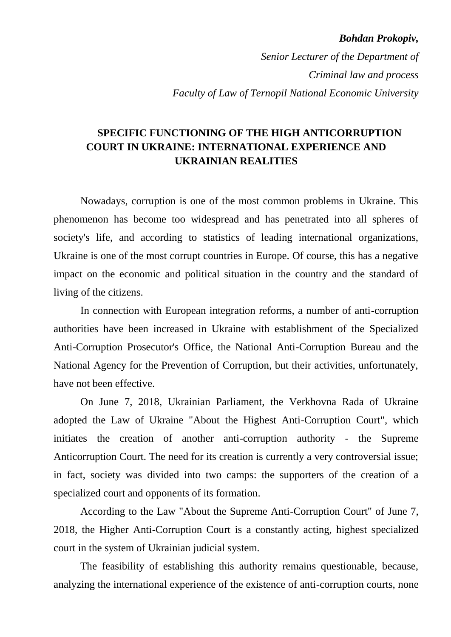#### *Bohdan Prokopiv,*

*Senior Lecturer of the Department of Criminal law and process Faculty of Law of Ternopil National Economic University*

### **SPECIFIC FUNCTIONING OF THE HIGH ANTICORRUPTION COURT IN UKRAINE: INTERNATIONAL EXPERIENCE AND UKRAINIAN REALITIES**

Nowadays, corruption is one of the most common problems in Ukraine. This phenomenon has become too widespread and has penetrated into all spheres of society's life, and according to statistics of leading international organizations, Ukraine is one of the most corrupt countries in Europe. Of course, this has a negative impact on the economic and political situation in the country and the standard of living of the citizens.

In connection with European integration reforms, a number of anti-corruption authorities have been increased in Ukraine with establishment of the Specialized Anti-Corruption Prosecutor's Office, the National Anti-Corruption Bureau and the National Agency for the Prevention of Corruption, but their activities, unfortunately, have not been effective.

On June 7, 2018, Ukrainian Parliament, the Verkhovna Rada of Ukraine adopted the Law of Ukraine "About the Highest Anti-Corruption Court", which initiates the creation of another anti-corruption authority - the Supreme Anticorruption Court. The need for its creation is currently a very controversial issue; in fact, society was divided into two camps: the supporters of the creation of a specialized court and opponents of its formation.

According to the Law "About the Supreme Anti-Corruption Court" of June 7, 2018, the Higher Anti-Corruption Court is a constantly acting, highest specialized court in the system of Ukrainian judicial system.

The feasibility of establishing this authority remains questionable, because, analyzing the international experience of the existence of anti-corruption courts, none